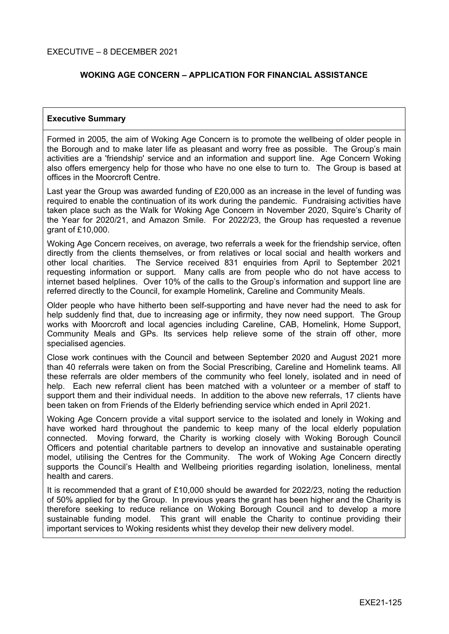# **WOKING AGE CONCERN – APPLICATION FOR FINANCIAL ASSISTANCE**

#### **Executive Summary**

Formed in 2005, the aim of Woking Age Concern is to promote the wellbeing of older people in the Borough and to make later life as pleasant and worry free as possible. The Group's main activities are a 'friendship' service and an information and support line. Age Concern Woking also offers emergency help for those who have no one else to turn to. The Group is based at offices in the Moorcroft Centre.

Last year the Group was awarded funding of £20,000 as an increase in the level of funding was required to enable the continuation of its work during the pandemic. Fundraising activities have taken place such as the Walk for Woking Age Concern in November 2020, Squire's Charity of the Year for 2020/21, and Amazon Smile. For 2022/23, the Group has requested a revenue grant of £10,000.

Woking Age Concern receives, on average, two referrals a week for the friendship service, often directly from the clients themselves, or from relatives or local social and health workers and other local charities. The Service received 831 enquiries from April to September 2021 requesting information or support. Many calls are from people who do not have access to internet based helplines. Over 10% of the calls to the Group's information and support line are referred directly to the Council, for example Homelink, Careline and Community Meals.

Older people who have hitherto been self-supporting and have never had the need to ask for help suddenly find that, due to increasing age or infirmity, they now need support. The Group works with Moorcroft and local agencies including Careline, CAB, Homelink, Home Support, Community Meals and GPs. Its services help relieve some of the strain off other, more specialised agencies.

Close work continues with the Council and between September 2020 and August 2021 more than 40 referrals were taken on from the Social Prescribing, Careline and Homelink teams. All these referrals are older members of the community who feel lonely, isolated and in need of help. Each new referral client has been matched with a volunteer or a member of staff to support them and their individual needs. In addition to the above new referrals, 17 clients have been taken on from Friends of the Elderly befriending service which ended in April 2021.

Woking Age Concern provide a vital support service to the isolated and lonely in Woking and have worked hard throughout the pandemic to keep many of the local elderly population connected. Moving forward, the Charity is working closely with Woking Borough Council Officers and potential charitable partners to develop an innovative and sustainable operating model, utilising the Centres for the Community. The work of Woking Age Concern directly supports the Council's Health and Wellbeing priorities regarding isolation, loneliness, mental health and carers.

It is recommended that a grant of £10,000 should be awarded for 2022/23, noting the reduction of 50% applied for by the Group. In previous years the grant has been higher and the Charity is therefore seeking to reduce reliance on Woking Borough Council and to develop a more sustainable funding model. This grant will enable the Charity to continue providing their important services to Woking residents whist they develop their new delivery model.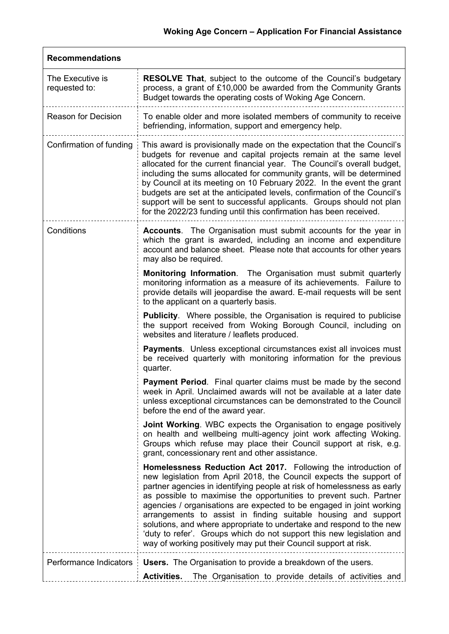| <b>Recommendations</b>            |                                                                                                                                                                                                                                                                                                                                                                                                                                                                                                                                                                                                                                                       |  |  |
|-----------------------------------|-------------------------------------------------------------------------------------------------------------------------------------------------------------------------------------------------------------------------------------------------------------------------------------------------------------------------------------------------------------------------------------------------------------------------------------------------------------------------------------------------------------------------------------------------------------------------------------------------------------------------------------------------------|--|--|
| The Executive is<br>requested to: | <b>RESOLVE That, subject to the outcome of the Council's budgetary</b><br>process, a grant of £10,000 be awarded from the Community Grants<br>Budget towards the operating costs of Woking Age Concern.                                                                                                                                                                                                                                                                                                                                                                                                                                               |  |  |
| <b>Reason for Decision</b>        | To enable older and more isolated members of community to receive<br>befriending, information, support and emergency help.                                                                                                                                                                                                                                                                                                                                                                                                                                                                                                                            |  |  |
| Confirmation of funding           | This award is provisionally made on the expectation that the Council's<br>budgets for revenue and capital projects remain at the same level<br>allocated for the current financial year. The Council's overall budget,<br>including the sums allocated for community grants, will be determined<br>by Council at its meeting on 10 February 2022. In the event the grant<br>budgets are set at the anticipated levels, confirmation of the Council's<br>support will be sent to successful applicants. Groups should not plan<br>for the 2022/23 funding until this confirmation has been received.                                                   |  |  |
| Conditions                        | <b>Accounts.</b> The Organisation must submit accounts for the year in<br>which the grant is awarded, including an income and expenditure<br>account and balance sheet. Please note that accounts for other years<br>may also be required.                                                                                                                                                                                                                                                                                                                                                                                                            |  |  |
|                                   | Monitoring Information. The Organisation must submit quarterly<br>monitoring information as a measure of its achievements. Failure to<br>provide details will jeopardise the award. E-mail requests will be sent<br>to the applicant on a quarterly basis.                                                                                                                                                                                                                                                                                                                                                                                            |  |  |
|                                   | <b>Publicity.</b> Where possible, the Organisation is required to publicise<br>the support received from Woking Borough Council, including on<br>websites and literature / leaflets produced.                                                                                                                                                                                                                                                                                                                                                                                                                                                         |  |  |
|                                   | Payments. Unless exceptional circumstances exist all invoices must<br>be received quarterly with monitoring information for the previous<br>quarter.                                                                                                                                                                                                                                                                                                                                                                                                                                                                                                  |  |  |
|                                   | Payment Period. Final quarter claims must be made by the second<br>week in April. Unclaimed awards will not be available at a later date<br>unless exceptional circumstances can be demonstrated to the Council<br>before the end of the award year.                                                                                                                                                                                                                                                                                                                                                                                                  |  |  |
|                                   | <b>Joint Working.</b> WBC expects the Organisation to engage positively<br>on health and wellbeing multi-agency joint work affecting Woking.<br>Groups which refuse may place their Council support at risk, e.g.<br>grant, concessionary rent and other assistance.                                                                                                                                                                                                                                                                                                                                                                                  |  |  |
|                                   | Homelessness Reduction Act 2017. Following the introduction of<br>new legislation from April 2018, the Council expects the support of<br>partner agencies in identifying people at risk of homelessness as early<br>as possible to maximise the opportunities to prevent such. Partner<br>agencies / organisations are expected to be engaged in joint working<br>arrangements to assist in finding suitable housing and support<br>solutions, and where appropriate to undertake and respond to the new<br>'duty to refer'. Groups which do not support this new legislation and<br>way of working positively may put their Council support at risk. |  |  |
| Performance Indicators            | <b>Users.</b> The Organisation to provide a breakdown of the users.<br><b>Activities.</b><br>The Organisation to provide details of activities and                                                                                                                                                                                                                                                                                                                                                                                                                                                                                                    |  |  |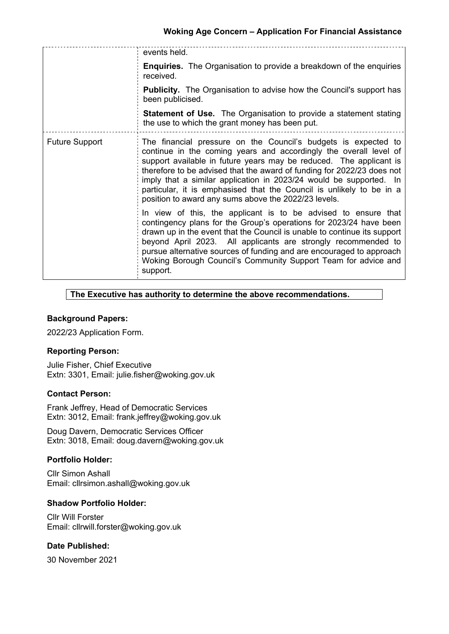|                       | events held.                                                                                                                                                                                                                                                                                                                                                                                                                                                                              |
|-----------------------|-------------------------------------------------------------------------------------------------------------------------------------------------------------------------------------------------------------------------------------------------------------------------------------------------------------------------------------------------------------------------------------------------------------------------------------------------------------------------------------------|
|                       | <b>Enquiries.</b> The Organisation to provide a breakdown of the enquiries<br>received.                                                                                                                                                                                                                                                                                                                                                                                                   |
|                       | <b>Publicity.</b> The Organisation to advise how the Council's support has<br>been publicised.                                                                                                                                                                                                                                                                                                                                                                                            |
|                       | <b>Statement of Use.</b> The Organisation to provide a statement stating<br>the use to which the grant money has been put.                                                                                                                                                                                                                                                                                                                                                                |
| <b>Future Support</b> | The financial pressure on the Council's budgets is expected to<br>continue in the coming years and accordingly the overall level of<br>support available in future years may be reduced. The applicant is<br>therefore to be advised that the award of funding for 2022/23 does not<br>imply that a similar application in 2023/24 would be supported. In<br>particular, it is emphasised that the Council is unlikely to be in a<br>position to award any sums above the 2022/23 levels. |
|                       | In view of this, the applicant is to be advised to ensure that<br>contingency plans for the Group's operations for 2023/24 have been<br>drawn up in the event that the Council is unable to continue its support<br>beyond April 2023. All applicants are strongly recommended to<br>pursue alternative sources of funding and are encouraged to approach<br>Woking Borough Council's Community Support Team for advice and<br>support.                                                   |

## **The Executive has authority to determine the above recommendations.**

# **Background Papers:**

2022/23 Application Form.

## **Reporting Person:**

Julie Fisher, Chief Executive Extn: 3301, Email: julie.fisher@woking.gov.uk

#### **Contact Person:**

Frank Jeffrey, Head of Democratic Services Extn: 3012, Email: frank.jeffrey@woking.gov.uk

Doug Davern, Democratic Services Officer Extn: 3018, Email: doug.davern@woking.gov.uk

## **Portfolio Holder:**

Cllr Simon Ashall Email: cllrsimon.ashall@woking.gov.uk

#### **Shadow Portfolio Holder:**

Cllr Will Forster Email: cllrwill.forster@woking.gov.uk

## **Date Published:**

30 November 2021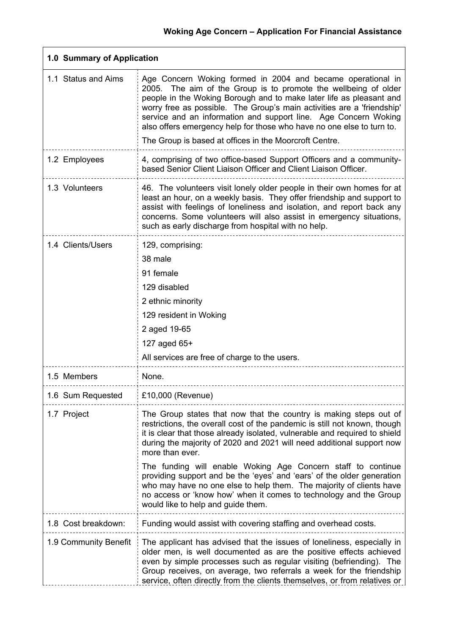| 1.0 Summary of Application |                                                                                                                                                                                                                                                                                                                                                                                                                                                                                          |  |
|----------------------------|------------------------------------------------------------------------------------------------------------------------------------------------------------------------------------------------------------------------------------------------------------------------------------------------------------------------------------------------------------------------------------------------------------------------------------------------------------------------------------------|--|
| 1.1 Status and Aims        | Age Concern Woking formed in 2004 and became operational in<br>The aim of the Group is to promote the wellbeing of older<br>2005.<br>people in the Woking Borough and to make later life as pleasant and<br>worry free as possible. The Group's main activities are a 'friendship'<br>service and an information and support line. Age Concern Woking<br>also offers emergency help for those who have no one else to turn to.<br>The Group is based at offices in the Moorcroft Centre. |  |
| 1.2 Employees              | 4, comprising of two office-based Support Officers and a community-<br>based Senior Client Liaison Officer and Client Liaison Officer.                                                                                                                                                                                                                                                                                                                                                   |  |
| 1.3 Volunteers             | 46. The volunteers visit lonely older people in their own homes for at<br>least an hour, on a weekly basis. They offer friendship and support to<br>assist with feelings of loneliness and isolation, and report back any<br>concerns. Some volunteers will also assist in emergency situations,<br>such as early discharge from hospital with no help.                                                                                                                                  |  |
| 1.4 Clients/Users          | 129, comprising:<br>38 male<br>91 female<br>129 disabled<br>2 ethnic minority<br>129 resident in Woking<br>2 aged 19-65<br>127 aged 65+<br>All services are free of charge to the users.                                                                                                                                                                                                                                                                                                 |  |
| 1.5 Members                | None.                                                                                                                                                                                                                                                                                                                                                                                                                                                                                    |  |
| 1.6 Sum Requested          | £10,000 (Revenue)                                                                                                                                                                                                                                                                                                                                                                                                                                                                        |  |
| 1.7 Project                | The Group states that now that the country is making steps out of<br>restrictions, the overall cost of the pandemic is still not known, though<br>it is clear that those already isolated, vulnerable and required to shield<br>during the majority of 2020 and 2021 will need additional support now<br>more than ever.<br>The funding will enable Woking Age Concern staff to continue                                                                                                 |  |
|                            | providing support and be the 'eyes' and 'ears' of the older generation<br>who may have no one else to help them. The majority of clients have<br>no access or 'know how' when it comes to technology and the Group<br>would like to help and guide them.                                                                                                                                                                                                                                 |  |
| 1.8 Cost breakdown:        | Funding would assist with covering staffing and overhead costs.                                                                                                                                                                                                                                                                                                                                                                                                                          |  |
| 1.9 Community Benefit      | The applicant has advised that the issues of loneliness, especially in<br>older men, is well documented as are the positive effects achieved<br>even by simple processes such as regular visiting (befriending). The<br>Group receives, on average, two referrals a week for the friendship<br>service, often directly from the clients themselves, or from relatives or                                                                                                                 |  |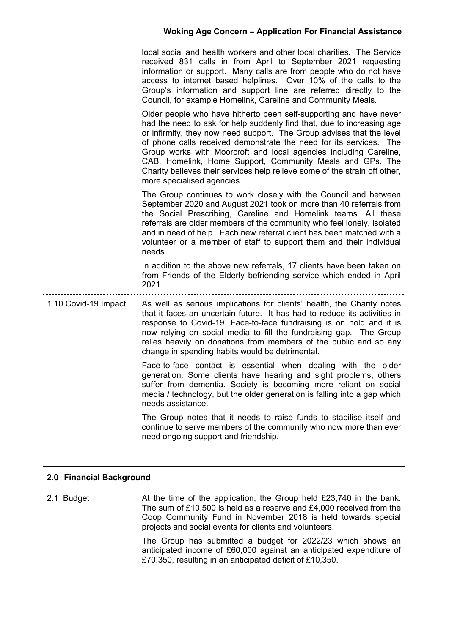|                      | local social and health workers and other local charities. The Service<br>received 831 calls in from April to September 2021 requesting<br>information or support. Many calls are from people who do not have<br>access to internet based helplines. Over 10% of the calls to the<br>Group's information and support line are referred directly to the<br>Council, for example Homelink, Careline and Community Meals.                                                                                                                    |
|----------------------|-------------------------------------------------------------------------------------------------------------------------------------------------------------------------------------------------------------------------------------------------------------------------------------------------------------------------------------------------------------------------------------------------------------------------------------------------------------------------------------------------------------------------------------------|
|                      | Older people who have hitherto been self-supporting and have never<br>had the need to ask for help suddenly find that, due to increasing age<br>or infirmity, they now need support. The Group advises that the level<br>of phone calls received demonstrate the need for its services. The<br>Group works with Moorcroft and local agencies including Careline,<br>CAB, Homelink, Home Support, Community Meals and GPs. The<br>Charity believes their services help relieve some of the strain off other,<br>more specialised agencies. |
|                      | The Group continues to work closely with the Council and between<br>September 2020 and August 2021 took on more than 40 referrals from<br>the Social Prescribing, Careline and Homelink teams. All these<br>referrals are older members of the community who feel lonely, isolated<br>and in need of help. Each new referral client has been matched with a<br>volunteer or a member of staff to support them and their individual<br>needs.                                                                                              |
|                      | In addition to the above new referrals, 17 clients have been taken on<br>from Friends of the Elderly befriending service which ended in April<br>2021.                                                                                                                                                                                                                                                                                                                                                                                    |
| 1.10 Covid-19 Impact | As well as serious implications for clients' health, the Charity notes<br>that it faces an uncertain future. It has had to reduce its activities in<br>response to Covid-19. Face-to-face fundraising is on hold and it is<br>now relying on social media to fill the fundraising gap. The Group<br>relies heavily on donations from members of the public and so any<br>change in spending habits would be detrimental.                                                                                                                  |
|                      | Face-to-face contact is essential when dealing with the older<br>generation. Some clients have hearing and sight problems, others<br>suffer from dementia. Society is becoming more reliant on social<br>media / technology, but the older generation is falling into a gap which<br>needs assistance.                                                                                                                                                                                                                                    |
|                      | The Group notes that it needs to raise funds to stabilise itself and<br>continue to serve members of the community who now more than ever<br>need ongoing support and friendship.                                                                                                                                                                                                                                                                                                                                                         |

| 2.0 Financial Background |                                                                                                                                                                                                                                                                         |
|--------------------------|-------------------------------------------------------------------------------------------------------------------------------------------------------------------------------------------------------------------------------------------------------------------------|
| 2.1 Budget               | At the time of the application, the Group held $£23,740$ in the bank.<br>The sum of £10,500 is held as a reserve and £4,000 received from the<br>Coop Community Fund in November 2018 is held towards special<br>projects and social events for clients and volunteers. |
|                          | The Group has submitted a budget for $2022/23$ which shows an<br>anticipated income of £60,000 against an anticipated expenditure of<br>E70,350, resulting in an anticipated deficit of £10,350.                                                                        |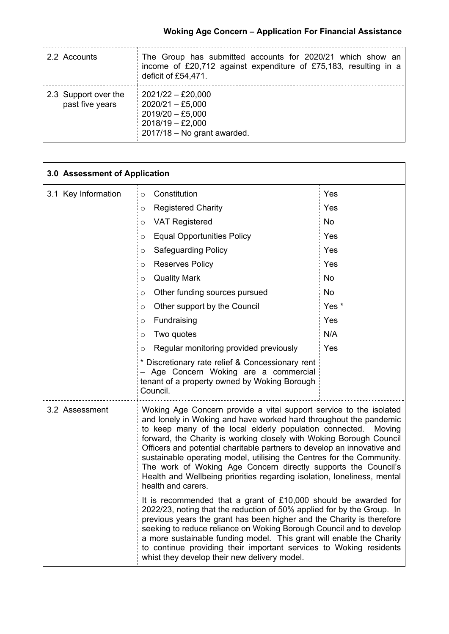| 2.2 Accounts                            | The Group has submitted accounts for 2020/21 which show an<br>income of £20,712 against expenditure of £75,183, resulting in a<br>deficit of £54,471. |
|-----------------------------------------|-------------------------------------------------------------------------------------------------------------------------------------------------------|
| 2.3 Support over the<br>past five years | $2021/22 - £20,000$<br>$2020/21 - £5,000$<br>$2019/20 - £5,000$<br>$2018/19 - \pounds2,000$<br>$2017/18 - No$ grant awarded.                          |

| 3.0 Assessment of Application |                                                                                                                                                                                                                                                                                                                                                                                                                                                                                                                                                                                                         |                  |  |
|-------------------------------|---------------------------------------------------------------------------------------------------------------------------------------------------------------------------------------------------------------------------------------------------------------------------------------------------------------------------------------------------------------------------------------------------------------------------------------------------------------------------------------------------------------------------------------------------------------------------------------------------------|------------------|--|
| 3.1 Key Information           | Constitution<br>$\circ$                                                                                                                                                                                                                                                                                                                                                                                                                                                                                                                                                                                 | Yes              |  |
|                               | <b>Registered Charity</b><br>O                                                                                                                                                                                                                                                                                                                                                                                                                                                                                                                                                                          | Yes              |  |
|                               | <b>VAT Registered</b><br>O                                                                                                                                                                                                                                                                                                                                                                                                                                                                                                                                                                              | <b>No</b>        |  |
|                               | <b>Equal Opportunities Policy</b><br>O                                                                                                                                                                                                                                                                                                                                                                                                                                                                                                                                                                  | Yes              |  |
|                               | <b>Safeguarding Policy</b><br>O                                                                                                                                                                                                                                                                                                                                                                                                                                                                                                                                                                         | Yes              |  |
|                               | <b>Reserves Policy</b><br>$\circ$                                                                                                                                                                                                                                                                                                                                                                                                                                                                                                                                                                       | Yes              |  |
|                               | <b>Quality Mark</b><br>O                                                                                                                                                                                                                                                                                                                                                                                                                                                                                                                                                                                | <b>No</b>        |  |
|                               | Other funding sources pursued<br>O                                                                                                                                                                                                                                                                                                                                                                                                                                                                                                                                                                      | <b>No</b>        |  |
|                               | Other support by the Council<br>O                                                                                                                                                                                                                                                                                                                                                                                                                                                                                                                                                                       | Yes <sup>*</sup> |  |
|                               | Fundraising<br>$\circ$                                                                                                                                                                                                                                                                                                                                                                                                                                                                                                                                                                                  | Yes              |  |
|                               | Two quotes<br>O                                                                                                                                                                                                                                                                                                                                                                                                                                                                                                                                                                                         | N/A              |  |
|                               | Regular monitoring provided previously<br>$\circ$                                                                                                                                                                                                                                                                                                                                                                                                                                                                                                                                                       | Yes              |  |
|                               | * Discretionary rate relief & Concessionary rent<br>- Age Concern Woking are a commercial<br>tenant of a property owned by Woking Borough<br>Council.                                                                                                                                                                                                                                                                                                                                                                                                                                                   |                  |  |
| 3.2 Assessment                | Woking Age Concern provide a vital support service to the isolated<br>and lonely in Woking and have worked hard throughout the pandemic<br>to keep many of the local elderly population connected. Moving<br>forward, the Charity is working closely with Woking Borough Council<br>Officers and potential charitable partners to develop an innovative and<br>sustainable operating model, utilising the Centres for the Community.<br>The work of Woking Age Concern directly supports the Council's<br>Health and Wellbeing priorities regarding isolation, loneliness, mental<br>health and carers. |                  |  |
|                               | It is recommended that a grant of £10,000 should be awarded for<br>2022/23, noting that the reduction of 50% applied for by the Group. In<br>previous years the grant has been higher and the Charity is therefore<br>seeking to reduce reliance on Woking Borough Council and to develop<br>a more sustainable funding model. This grant will enable the Charity<br>to continue providing their important services to Woking residents<br>whist they develop their new delivery model.                                                                                                                 |                  |  |